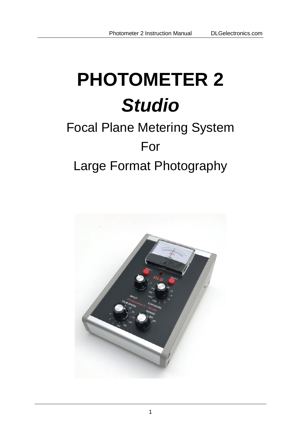# **PHOTOMETER 2** *Studio*

# Focal Plane Metering System For Large Format Photography

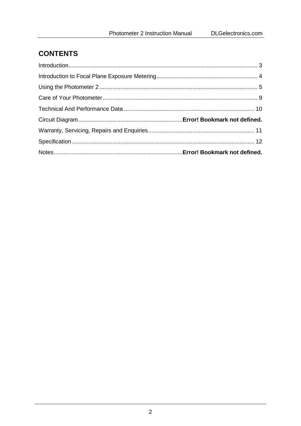# **CONTENTS**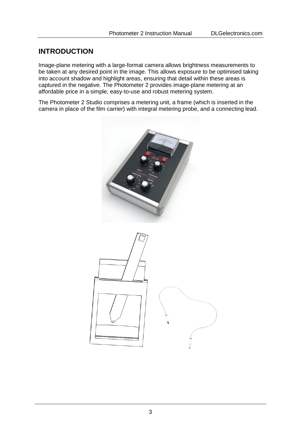### <span id="page-2-0"></span>**INTRODUCTION**

Image-plane metering with a large-format camera allows brightness measurements to be taken at any desired point in the image. This allows exposure to be optimised taking into account shadow and highlight areas, ensuring that detail within these areas is captured in the negative. The Photometer 2 provides image-plane metering at an affordable price in a simple, easy-to-use and robust metering system.

The Photometer 2 Studio comprises a metering unit, a frame (which is inserted in the camera in place of the film carrier) with integral metering probe, and a connecting lead.

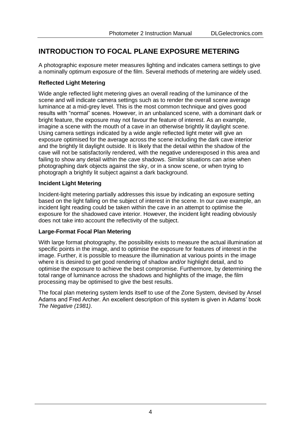# <span id="page-3-0"></span>**INTRODUCTION TO FOCAL PLANE EXPOSURE METERING**

A photographic exposure meter measures lighting and indicates camera settings to give a nominally optimum exposure of the film. Several methods of metering are widely used.

#### **Reflected Light Metering**

Wide angle reflected light metering gives an overall reading of the luminance of the scene and will indicate camera settings such as to render the overall scene average luminance at a mid-grey level. This is the most common technique and gives good results with "normal" scenes. However, in an unbalanced scene, with a dominant dark or bright feature, the exposure may not favour the feature of interest. As an example, imagine a scene with the mouth of a cave in an otherwise brightly lit daylight scene. Using camera settings indicated by a wide angle reflected light meter will give an exposure optimised for the average across the scene including the dark cave interior and the brightly lit daylight outside. It is likely that the detail within the shadow of the cave will not be satisfactorily rendered, with the negative underexposed in this area and failing to show any detail within the cave shadows. Similar situations can arise when photographing dark objects against the sky, or in a snow scene, or when trying to photograph a brightly lit subject against a dark background.

#### **Incident Light Metering**

Incident-light metering partially addresses this issue by indicating an exposure setting based on the light falling on the subject of interest in the scene. In our cave example, an incident light reading could be taken within the cave in an attempt to optimise the exposure for the shadowed cave interior. However, the incident light reading obviously does not take into account the reflectivity of the subject.

#### **Large-Format Focal Plan Metering**

With large format photography, the possibility exists to measure the actual illumination at specific points in the image, and to optimise the exposure for features of interest in the image. Further, it is possible to measure the illumination at various points in the image where it is desired to get good rendering of shadow and/or highlight detail, and to optimise the exposure to achieve the best compromise. Furthermore, by determining the total range of luminance across the shadows and highlights of the image, the film processing may be optimised to give the best results.

The focal plan metering system lends itself to use of the Zone System, devised by Ansel Adams and Fred Archer. An excellent description of this system is given in Adams' book *The Negative (1981)*.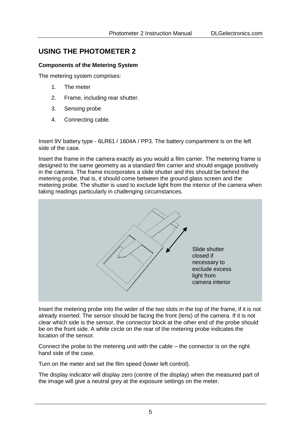# <span id="page-4-0"></span>**USING THE PHOTOMETER 2**

#### **Components of the Metering System**

The metering system comprises:

- 1. The meter
- 2. Frame, including rear shutter.
- 3. Sensing probe
- 4. Connecting cable.

Insert 9V battery type - 6LR61 / 1604A / PP3. The battery compartment is on the left side of the case.

Insert the frame in the camera exactly as you would a film carrier. The metering frame is designed to the same geometry as a standard film carrier and should engage positively in the camera. The frame incorporates a slide shutter and this should be behind the metering probe, that is, it should come between the ground glass screen and the metering probe. The shutter is used to exclude light from the interior of the camera when taking readings particularly in challenging circumstances.



Insert the metering probe into the wider of the two slots in the top of the frame, if it is not already inserted. The sensor should be facing the front (lens) of the camera. If it is not clear which side is the sensor, the connector block at the other end of the probe should be on the front side. A white circle on the rear of the metering probe indicates the location of the sensor.

Connect the probe to the metering unit with the cable – the connector is on the right hand side of the case.

Turn on the meter and set the film speed (lower left control).

The display indicator will display zero (centre of the display) when the measured part of the image will give a neutral grey at the exposure settings on the meter.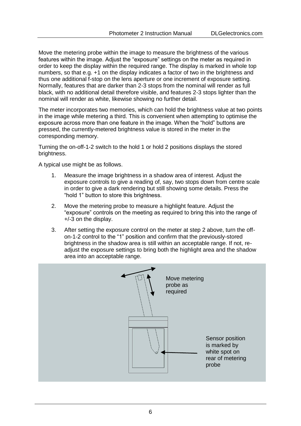Move the metering probe within the image to measure the brightness of the various features within the image. Adjust the "exposure" settings on the meter as required in order to keep the display within the required range. The display is marked in whole top numbers, so that e.g. +1 on the display indicates a factor of two in the brightness and thus one additional f-stop on the lens aperture or one increment of exposure setting. Normally, features that are darker than 2-3 stops from the nominal will render as full black, with no additional detail therefore visible, and features 2-3 stops lighter than the nominal will render as white, likewise showing no further detail.

The meter incorporates two memories, which can hold the brightness value at two points in the image while metering a third. This is convenient when attempting to optimise the exposure across more than one feature in the image. When the "hold" buttons are pressed, the currently-metered brightness value is stored in the meter in the corresponding memory.

Turning the on-off-1-2 switch to the hold 1 or hold 2 positions displays the stored brightness.

A typical use might be as follows.

- 1. Measure the image brightness in a shadow area of interest. Adjust the exposure controls to give a reading of, say, two stops down from centre scale in order to give a dark rendering but still showing some details. Press the "hold 1" button to store this brightness.
- 2. Move the metering probe to measure a highlight feature. Adjust the "exposure" controls on the meeting as required to bring this into the range of +/-3 on the display.
- 3. After setting the exposure control on the meter at step 2 above, turn the offon-1-2 control to the "1" position and confirm that the previously-stored brightness in the shadow area is still within an acceptable range. If not, readjust the exposure settings to bring both the highlight area and the shadow area into an acceptable range.

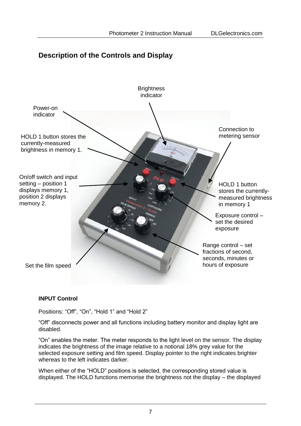# **Description of the Controls and Display**



#### **INPUT Control**

Positions: "Off", "On", "Hold 1" and "Hold 2"

"Off" disconnects power and all functions including battery monitor and display light are disabled.

"On" enables the meter. The meter responds to the light level on the sensor. The display indicates the brightness of the image relative to a notional 18% grey value for the selected exposure setting and film speed. Display pointer to the right indicates brighter whereas to the left indicates darker

When either of the "HOLD" positions is selected, the corresponding stored value is displayed. The HOLD functions memorise the brightness not the display – the displayed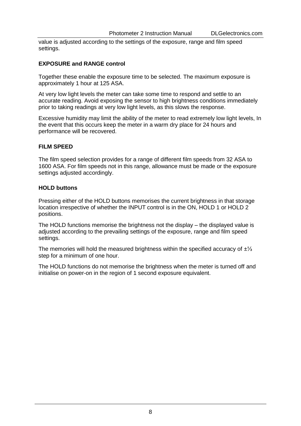value is adjusted according to the settings of the exposure, range and film speed settings.

#### **EXPOSURE and RANGE control**

Together these enable the exposure time to be selected. The maximum exposure is approximately 1 hour at 125 ASA.

At very low light levels the meter can take some time to respond and settle to an accurate reading. Avoid exposing the sensor to high brightness conditions immediately prior to taking readings at very low light levels, as this slows the response.

Excessive humidity may limit the ability of the meter to read extremely low light levels, In the event that this occurs keep the meter in a warm dry place for 24 hours and performance will be recovered.

#### **FILM SPEED**

The film speed selection provides for a range of different film speeds from 32 ASA to 1600 ASA. For film speeds not in this range, allowance must be made or the exposure settings adjusted accordingly.

#### **HOLD buttons**

Pressing either of the HOLD buttons memorises the current brightness in that storage location irrespective of whether the INPUT control is in the ON, HOLD 1 or HOLD 2 positions.

The HOLD functions memorise the brightness not the display – the displayed value is adjusted according to the prevailing settings of the exposure, range and film speed settings.

The memories will hold the measured brightness within the specified accuracy of ±⅓ step for a minimum of one hour.

The HOLD functions do not memorise the brightness when the meter is turned off and initialise on power-on in the region of 1 second exposure equivalent.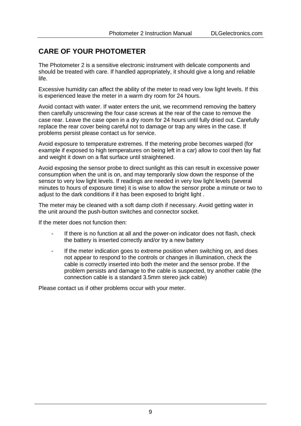# <span id="page-8-0"></span>**CARE OF YOUR PHOTOMETER**

The Photometer 2 is a sensitive electronic instrument with delicate components and should be treated with care. If handled appropriately, it should give a long and reliable life.

Excessive humidity can affect the ability of the meter to read very low light levels. If this is experienced leave the meter in a warm dry room for 24 hours.

Avoid contact with water. If water enters the unit, we recommend removing the battery then carefully unscrewing the four case screws at the rear of the case to remove the case rear. Leave the case open in a dry room for 24 hours until fully dried out. Carefully replace the rear cover being careful not to damage or trap any wires in the case. If problems persist please contact us for service.

Avoid exposure to temperature extremes. If the metering probe becomes warped (for example if exposed to high temperatures on being left in a car) allow to cool then lay flat and weight it down on a flat surface until straightened.

Avoid exposing the sensor probe to direct sunlight as this can result in excessive power consumption when the unit is on, and may temporarily slow down the response of the sensor to very low light levels. If readings are needed in very low light levels (several minutes to hours of exposure time) it is wise to allow the sensor probe a minute or two to adjust to the dark conditions if it has been exposed to bright light .

The meter may be cleaned with a soft damp cloth if necessary. Avoid getting water in the unit around the push-button switches and connector socket.

If the meter does not function then:

- If there is no function at all and the power-on indicator does not flash, check the battery is inserted correctly and/or try a new battery
- If the meter indication goes to extreme position when switching on, and does not appear to respond to the controls or changes in illumination, check the cable is correctly inserted into both the meter and the sensor probe. If the problem persists and damage to the cable is suspected, try another cable (the connection cable is a standard 3.5mm stereo jack cable)

Please contact us if other problems occur with your meter.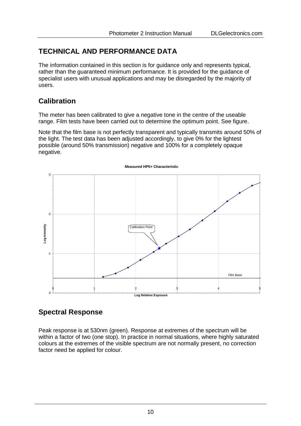# <span id="page-9-0"></span>**TECHNICAL AND PERFORMANCE DATA**

The information contained in this section is for guidance only and represents typical, rather than the guaranteed minimum performance. It is provided for the guidance of specialist users with unusual applications and may be disregarded by the majority of users.

# **Calibration**

The meter has been calibrated to give a negative tone in the centre of the useable range. Film tests have been carried out to determine the optimum point. See figure.

Note that the film base is not perfectly transparent and typically transmits around 50% of the light. The test data has been adjusted accordingly, to give 0% for the lightest possible (around 50% transmission) negative and 100% for a completely opaque negative.



# **Spectral Response**

Peak response is at 530nm (green). Response at extremes of the spectrum will be within a factor of two (one stop). In practice in normal situations, where highly saturated colours at the extremes of the visible spectrum are not normally present, no correction factor need be applied for colour.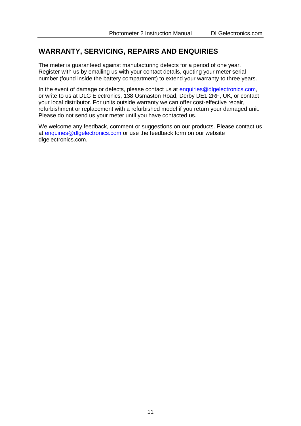# <span id="page-10-0"></span>**WARRANTY, SERVICING, REPAIRS AND ENQUIRIES**

The meter is guaranteed against manufacturing defects for a period of one year. Register with us by emailing us with your contact details, quoting your meter serial number (found inside the battery compartment) to extend your warranty to three years.

In the event of damage or defects, please contact us at [enquiries@dlgelectronics.com,](mailto:enquiries@dlgelectronics.com) or write to us at DLG Electronics, 138 Osmaston Road, Derby DE1 2RF, UK, or contact your local distributor. For units outside warranty we can offer cost-effective repair, refurbishment or replacement with a refurbished model if you return your damaged unit. Please do not send us your meter until you have contacted us.

We welcome any feedback, comment or suggestions on our products. Please contact us a[t enquiries@dlgelectronics.com](mailto:enquiries@dlgelectronics.com) or use the feedback form on our website dlgelectronics.com.